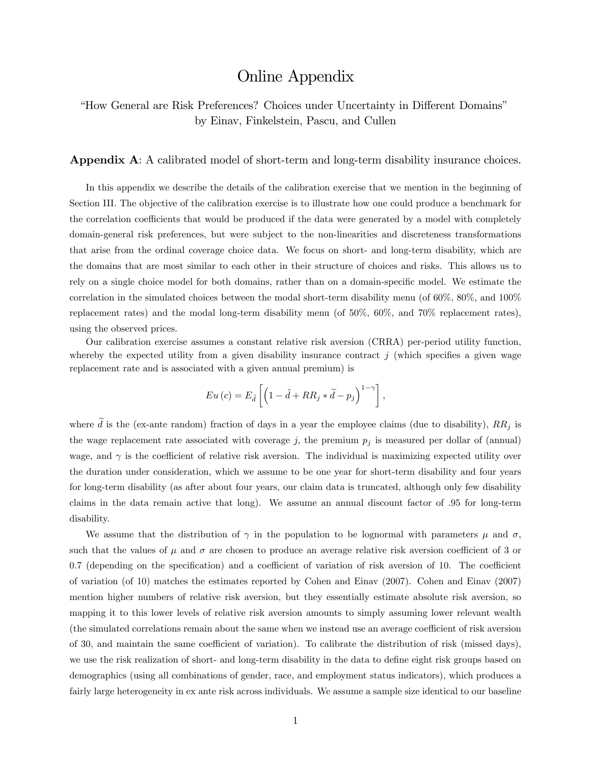## Online Appendix

"How General are Risk Preferences? Choices under Uncertainty in Different Domains" by Einav, Finkelstein, Pascu, and Cullen

Appendix A: A calibrated model of short-term and long-term disability insurance choices.

In this appendix we describe the details of the calibration exercise that we mention in the beginning of Section III. The objective of the calibration exercise is to illustrate how one could produce a benchmark for the correlation coefficients that would be produced if the data were generated by a model with completely domain-general risk preferences, but were subject to the non-linearities and discreteness transformations that arise from the ordinal coverage choice data. We focus on short- and long-term disability, which are the domains that are most similar to each other in their structure of choices and risks. This allows us to rely on a single choice model for both domains, rather than on a domain-specific model. We estimate the correlation in the simulated choices between the modal short-term disability menu (of 60%, 80%, and 100% replacement rates) and the modal long-term disability menu (of 50%, 60%, and 70% replacement rates), using the observed prices.

Our calibration exercise assumes a constant relative risk aversion (CRRA) per-period utility function, whereby the expected utility from a given disability insurance contract  $j$  (which specifies a given wage replacement rate and is associated with a given annual premium) is

$$
Eu\left(c\right)=E_{\tilde{d}}\left[\left(1-\tilde{d}+RR_{j}*\tilde{d}-p_{j}\right)^{1-\gamma}\right],
$$

where  $\tilde{d}$  is the (ex-ante random) fraction of days in a year the employee claims (due to disability),  $RR_j$  is the wage replacement rate associated with coverage j, the premium  $p_j$  is measured per dollar of (annual) wage, and  $\gamma$  is the coefficient of relative risk aversion. The individual is maximizing expected utility over the duration under consideration, which we assume to be one year for short-term disability and four years for long-term disability (as after about four years, our claim data is truncated, although only few disability claims in the data remain active that long). We assume an annual discount factor of .95 for long-term disability.

We assume that the distribution of  $\gamma$  in the population to be lognormal with parameters  $\mu$  and  $\sigma$ , such that the values of  $\mu$  and  $\sigma$  are chosen to produce an average relative risk aversion coefficient of 3 or  $0.7$  (depending on the specification) and a coefficient of variation of risk aversion of 10. The coefficient of variation (of 10) matches the estimates reported by Cohen and Einav (2007). Cohen and Einav (2007) mention higher numbers of relative risk aversion, but they essentially estimate absolute risk aversion, so mapping it to this lower levels of relative risk aversion amounts to simply assuming lower relevant wealth (the simulated correlations remain about the same when we instead use an average coefficient of risk aversion of 30, and maintain the same coefficient of variation). To calibrate the distribution of risk (missed days), we use the risk realization of short- and long-term disability in the data to define eight risk groups based on demographics (using all combinations of gender, race, and employment status indicators), which produces a fairly large heterogeneity in ex ante risk across individuals. We assume a sample size identical to our baseline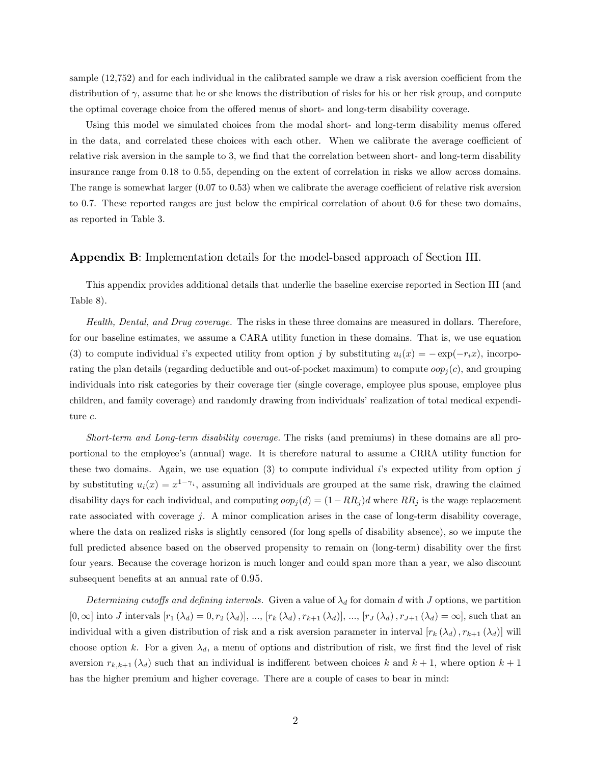sample  $(12,752)$  and for each individual in the calibrated sample we draw a risk aversion coefficient from the distribution of  $\gamma$ , assume that he or she knows the distribution of risks for his or her risk group, and compute the optimal coverage choice from the offered menus of short- and long-term disability coverage.

Using this model we simulated choices from the modal short- and long-term disability menus offered in the data, and correlated these choices with each other. When we calibrate the average coefficient of relative risk aversion in the sample to 3, we find that the correlation between short- and long-term disability insurance range from 0.18 to 0.55, depending on the extent of correlation in risks we allow across domains. The range is somewhat larger  $(0.07 \text{ to } 0.53)$  when we calibrate the average coefficient of relative risk aversion to 0.7. These reported ranges are just below the empirical correlation of about 0.6 for these two domains, as reported in Table 3.

## Appendix B: Implementation details for the model-based approach of Section III.

This appendix provides additional details that underlie the baseline exercise reported in Section III (and Table 8).

Health, Dental, and Drug coverage. The risks in these three domains are measured in dollars. Therefore, for our baseline estimates, we assume a CARA utility function in these domains. That is, we use equation (3) to compute individual i's expected utility from option j by substituting  $u_i(x) = -\exp(-r_i x)$ , incorporating the plan details (regarding deductible and out-of-pocket maximum) to compute  $\text{cop}_i(c)$ , and grouping individuals into risk categories by their coverage tier (single coverage, employee plus spouse, employee plus children, and family coverage) and randomly drawing from individuals' realization of total medical expenditure c.

Short-term and Long-term disability coverage. The risks (and premiums) in these domains are all proportional to the employeeís (annual) wage. It is therefore natural to assume a CRRA utility function for these two domains. Again, we use equation  $(3)$  to compute individual is expected utility from option j by substituting  $u_i(x) = x^{1-\gamma_i}$ , assuming all individuals are grouped at the same risk, drawing the claimed disability days for each individual, and computing  $\text{cop}_i(d) = (1 - RR_i)d$  where  $RR_i$  is the wage replacement rate associated with coverage j. A minor complication arises in the case of long-term disability coverage, where the data on realized risks is slightly censored (for long spells of disability absence), so we impute the full predicted absence based on the observed propensity to remain on (long-term) disability over the first four years. Because the coverage horizon is much longer and could span more than a year, we also discount subsequent benefits at an annual rate of 0.95.

Determining cutoffs and defining intervals. Given a value of  $\lambda_d$  for domain d with J options, we partition  $[0,\infty]$  into J intervals  $[r_1 (\lambda_d) = 0, r_2 (\lambda_d)], ..., [r_k (\lambda_d), r_{k+1} (\lambda_d)], ..., [r_j (\lambda_d), r_{j+1} (\lambda_d) = \infty]$ , such that an individual with a given distribution of risk and a risk aversion parameter in interval  $[r_k(\lambda_d), r_{k+1}(\lambda_d)]$  will choose option k. For a given  $\lambda_d$ , a menu of options and distribution of risk, we first find the level of risk aversion  $r_{k,k+1}(\lambda_d)$  such that an individual is indifferent between choices k and  $k+1$ , where option  $k+1$ has the higher premium and higher coverage. There are a couple of cases to bear in mind: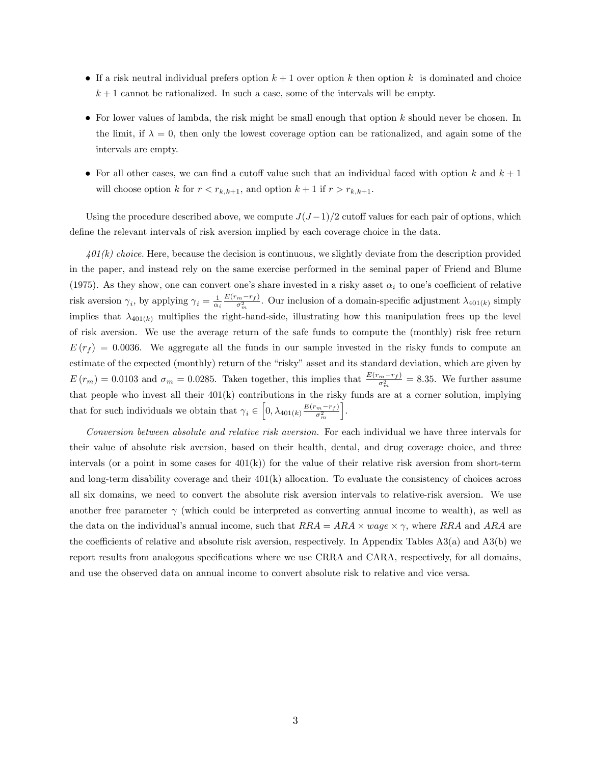- If a risk neutral individual prefers option  $k + 1$  over option k then option k is dominated and choice  $k+1$  cannot be rationalized. In such a case, some of the intervals will be empty.
- $\bullet$  For lower values of lambda, the risk might be small enough that option k should never be chosen. In the limit, if  $\lambda = 0$ , then only the lowest coverage option can be rationalized, and again some of the intervals are empty.
- For all other cases, we can find a cutoff value such that an individual faced with option k and  $k + 1$ will choose option k for  $r < r_{k,k+1}$ , and option  $k+1$  if  $r > r_{k,k+1}$ .

Using the procedure described above, we compute  $J(J-1)/2$  cutoff values for each pair of options, which define the relevant intervals of risk aversion implied by each coverage choice in the data.

 $401(k)$  choice. Here, because the decision is continuous, we slightly deviate from the description provided in the paper, and instead rely on the same exercise performed in the seminal paper of Friend and Blume (1975). As they show, one can convert one's share invested in a risky asset  $\alpha_i$  to one's coefficient of relative risk aversion  $\gamma_i$ , by applying  $\gamma_i = \frac{1}{\alpha_i} \frac{E(r_m - r_f)}{\sigma_m^2}$ . Our inclusion of a domain-specific adjustment  $\lambda_{401(k)}$  simply implies that  $\lambda_{401(k)}$  multiplies the right-hand-side, illustrating how this manipulation frees up the level of risk aversion. We use the average return of the safe funds to compute the (monthly) risk free return  $E(r_f) = 0.0036$ . We aggregate all the funds in our sample invested in the risky funds to compute an estimate of the expected (monthly) return of the "risky" asset and its standard deviation, which are given by  $E(r_m) = 0.0103$  and  $\sigma_m = 0.0285$ . Taken together, this implies that  $\frac{E(r_m - r_f)}{\sigma_m^2} = 8.35$ . We further assume that people who invest all their 401(k) contributions in the risky funds are at a corner solution, implying that for such individuals we obtain that  $\gamma_i \in \left[0, \lambda_{401(k)} \frac{E(r_m - r_f)}{\sigma_m^2}\right]$ i .

Conversion between absolute and relative risk aversion. For each individual we have three intervals for their value of absolute risk aversion, based on their health, dental, and drug coverage choice, and three intervals (or a point in some cases for  $401(k)$ ) for the value of their relative risk aversion from short-term and long-term disability coverage and their  $401(k)$  allocation. To evaluate the consistency of choices across all six domains, we need to convert the absolute risk aversion intervals to relative-risk aversion. We use another free parameter  $\gamma$  (which could be interpreted as converting annual income to wealth), as well as the data on the individual's annual income, such that  $RRA = ARA \times wage \times \gamma$ , where  $RRA$  and  $ARA$  are the coefficients of relative and absolute risk aversion, respectively. In Appendix Tables  $A3(a)$  and  $A3(b)$  we report results from analogous specifications where we use CRRA and CARA, respectively, for all domains, and use the observed data on annual income to convert absolute risk to relative and vice versa.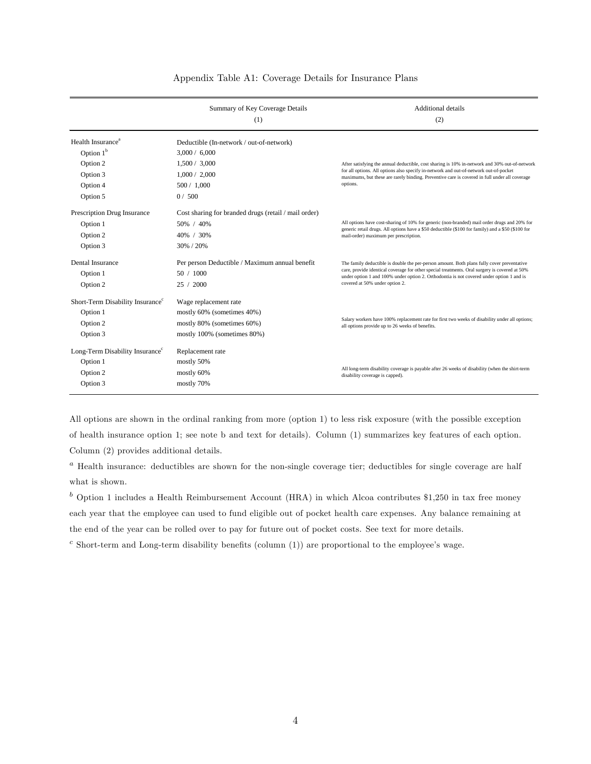|                                                                                              | Summary of Key Coverage Details<br>(1)                                                                            | Additional details<br>(2)                                                                                                                                                                                                                                                                                                 |
|----------------------------------------------------------------------------------------------|-------------------------------------------------------------------------------------------------------------------|---------------------------------------------------------------------------------------------------------------------------------------------------------------------------------------------------------------------------------------------------------------------------------------------------------------------------|
| Health Insurance <sup>a</sup><br>Option $1b$<br>Option 2<br>Option 3<br>Option 4<br>Option 5 | Deductible (In-network / out-of-network)<br>3,000 / 6,000<br>1,500 / 3,000<br>1.000 / 2.000<br>500/1,000<br>0/500 | After satisfying the annual deductible, cost sharing is 10% in-network and 30% out-of-network<br>for all options. All options also specify in-network and out-of-network out-of-pocket<br>maximums, but these are rarely binding. Preventive care is covered in full under all coverage<br>options.                       |
| Prescription Drug Insurance<br>Option 1<br>Option 2<br>Option 3                              | Cost sharing for branded drugs (retail / mail order)<br>50% / 40%<br>40% / 30%<br>30% / 20%                       | All options have cost-sharing of 10% for generic (non-branded) mail order drugs and 20% for<br>generic retail drugs. All options have a \$50 deductible (\$100 for family) and a \$50 (\$100 for<br>mail-order) maximum per prescription.                                                                                 |
| Dental Insurance<br>Option 1<br>Option 2                                                     | Per person Deductible / Maximum annual benefit<br>50 / 1000<br>25 / 2000                                          | The family deductible is double the per-person amount. Both plans fully cover preventative<br>care, provide identical coverage for other special treatments. Oral surgery is covered at 50%<br>under option 1 and 100% under option 2. Orthodontia is not covered under option 1 and is<br>covered at 50% under option 2. |
| Short-Term Disability Insurance <sup>c</sup><br>Option 1<br>Option 2<br>Option 3             | Wage replacement rate<br>mostly 60% (sometimes 40%)<br>mostly 80% (sometimes 60%)<br>mostly 100% (sometimes 80%)  | Salary workers have 100% replacement rate for first two weeks of disability under all options;<br>all options provide up to 26 weeks of benefits.                                                                                                                                                                         |
| Long-Term Disability Insurance <sup>c</sup><br>Option 1<br>Option 2<br>Option 3              | Replacement rate<br>mostly 50%<br>mostly 60%<br>mostly 70%                                                        | All long-term disability coverage is payable after 26 weeks of disability (when the shirt-term<br>disability coverage is capped).                                                                                                                                                                                         |

## Appendix Table A1: Coverage Details for Insurance Plans

All options are shown in the ordinal ranking from more (option 1) to less risk exposure (with the possible exception of health insurance option 1; see note b and text for details). Column (1) summarizes key features of each option. Column (2) provides additional details.

<sup>a</sup> Health insurance: deductibles are shown for the non-single coverage tier; deductibles for single coverage are half what is shown.

 $b$  Option 1 includes a Health Reimbursement Account (HRA) in which Alcoa contributes \$1,250 in tax free money each year that the employee can used to fund eligible out of pocket health care expenses. Any balance remaining at the end of the year can be rolled over to pay for future out of pocket costs. See text for more details.

 $c$  Short-term and Long-term disability benefits (column (1)) are proportional to the employee's wage.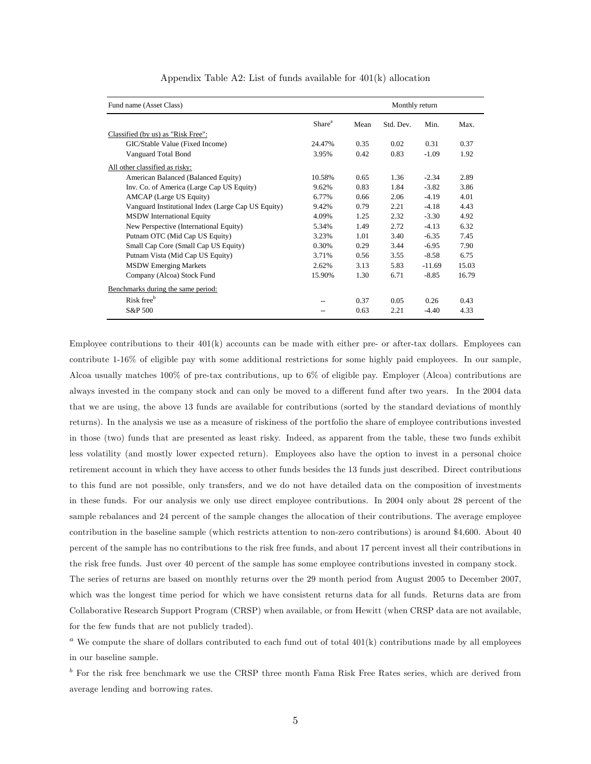| Fund name (Asset Class)                            | Monthly return     |      |           |          |       |
|----------------------------------------------------|--------------------|------|-----------|----------|-------|
|                                                    | Share <sup>a</sup> | Mean | Std. Dev. | Min.     | Max.  |
| Classified (by us) as "Risk Free":                 |                    |      |           |          |       |
| GIC/Stable Value (Fixed Income)                    | 24.47%             | 0.35 | 0.02      | 0.31     | 0.37  |
| Vanguard Total Bond                                | 3.95%              | 0.42 | 0.83      | $-1.09$  | 1.92  |
| All other classified as risky:                     |                    |      |           |          |       |
| American Balanced (Balanced Equity)                | 10.58%             | 0.65 | 1.36      | $-2.34$  | 2.89  |
| Inv. Co. of America (Large Cap US Equity)          | 9.62%              | 0.83 | 1.84      | $-3.82$  | 3.86  |
| <b>AMCAP</b> (Large US Equity)                     | 6.77%              | 0.66 | 2.06      | $-4.19$  | 4.01  |
| Vanguard Institutional Index (Large Cap US Equity) | 9.42%              | 0.79 | 2.21      | $-4.18$  | 4.43  |
| <b>MSDW</b> International Equity                   | 4.09%              | 1.25 | 2.32      | $-3.30$  | 4.92  |
| New Perspective (International Equity)             | 5.34%              | 1.49 | 2.72      | $-4.13$  | 6.32  |
| Putnam OTC (Mid Cap US Equity)                     | 3.23%              | 1.01 | 3.40      | $-6.35$  | 7.45  |
| Small Cap Core (Small Cap US Equity)               | 0.30%              | 0.29 | 3.44      | $-6.95$  | 7.90  |
| Putnam Vista (Mid Cap US Equity)                   | 3.71%              | 0.56 | 3.55      | $-8.58$  | 6.75  |
| <b>MSDW Emerging Markets</b>                       | 2.62%              | 3.13 | 5.83      | $-11.69$ | 15.03 |
| Company (Alcoa) Stock Fund                         | 15.90%             | 1.30 | 6.71      | $-8.85$  | 16.79 |
| Benchmarks during the same period:                 |                    |      |           |          |       |
| Risk free <sup>b</sup>                             |                    | 0.37 | 0.05      | 0.26     | 0.43  |
| S&P 500                                            |                    | 0.63 | 2.21      | $-4.40$  | 4.33  |

Appendix Table A2: List of funds available for 401(k) allocation

Employee contributions to their  $401(k)$  accounts can be made with either pre- or after-tax dollars. Employees can contribute 1-16% of eligible pay with some additional restrictions for some highly paid employees. In our sample, Alcoa usually matches 100% of pre-tax contributions, up to 6% of eligible pay. Employer (Alcoa) contributions are always invested in the company stock and can only be moved to a different fund after two years. In the 2004 data that we are using, the above 13 funds are available for contributions (sorted by the standard deviations of monthly returns). In the analysis we use as a measure of riskiness of the portfolio the share of employee contributions invested in those (two) funds that are presented as least risky. Indeed, as apparent from the table, these two funds exhibit less volatility (and mostly lower expected return). Employees also have the option to invest in a personal choice retirement account in which they have access to other funds besides the 13 funds just described. Direct contributions to this fund are not possible, only transfers, and we do not have detailed data on the composition of investments in these funds. For our analysis we only use direct employee contributions. In 2004 only about 28 percent of the sample rebalances and 24 percent of the sample changes the allocation of their contributions. The average employee contribution in the baseline sample (which restricts attention to non-zero contributions) is around \$4,600. About 40 percent of the sample has no contributions to the risk free funds, and about 17 percent invest all their contributions in the risk free funds. Just over 40 percent of the sample has some employee contributions invested in company stock.

The series of returns are based on monthly returns over the 29 month period from August 2005 to December 2007, which was the longest time period for which we have consistent returns data for all funds. Returns data are from Collaborative Research Support Program (CRSP) when available, or from Hewitt (when CRSP data are not available, for the few funds that are not publicly traded).

<sup>a</sup> We compute the share of dollars contributed to each fund out of total  $401(k)$  contributions made by all employees in our baseline sample.

<sup>b</sup> For the risk free benchmark we use the CRSP three month Fama Risk Free Rates series, which are derived from average lending and borrowing rates.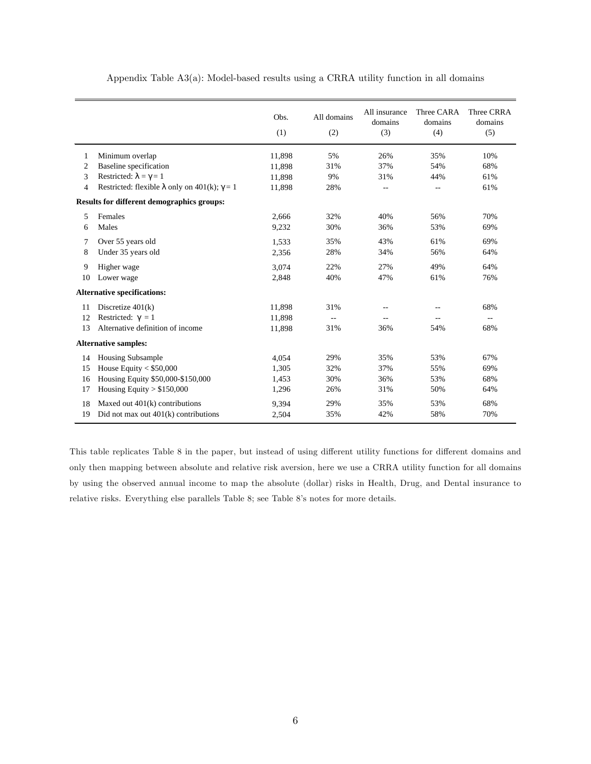|    |                                                             | Obs.<br>(1) | All domains<br>(2) | All insurance<br>domains<br>(3) | Three CARA<br>domains<br>(4) | Three CRRA<br>domains<br>(5) |
|----|-------------------------------------------------------------|-------------|--------------------|---------------------------------|------------------------------|------------------------------|
| 1  | Minimum overlap                                             | 11,898      | 5%                 | 26%                             | 35%                          | 10%                          |
| 2  | Baseline specification                                      | 11,898      | 31%                | 37%                             | 54%                          | 68%                          |
| 3  | Restricted: $\lambda = \gamma = 1$                          | 11,898      | 9%                 | 31%                             | 44%                          | 61%                          |
| 4  | Restricted: flexible $\lambda$ only on 401(k); $\gamma = 1$ | 11,898      | 28%                | --                              | $-$                          | 61%                          |
|    | Results for different demographics groups:                  |             |                    |                                 |                              |                              |
| 5  | Females                                                     | 2,666       | 32%                | 40%                             | 56%                          | 70%                          |
| 6  | Males                                                       | 9,232       | 30%                | 36%                             | 53%                          | 69%                          |
| 7  | Over 55 years old                                           | 1,533       | 35%                | 43%                             | 61%                          | 69%                          |
| 8  | Under 35 years old                                          | 2,356       | 28%                | 34%                             | 56%                          | 64%                          |
| 9  | Higher wage                                                 | 3,074       | 22%                | 27%                             | 49%                          | 64%                          |
| 10 | Lower wage                                                  | 2,848       | 40%                | 47%                             | 61%                          | 76%                          |
|    | <b>Alternative specifications:</b>                          |             |                    |                                 |                              |                              |
| 11 | Discretize $401(k)$                                         | 11,898      | 31%                |                                 |                              | 68%                          |
| 12 | Restricted: $\gamma = 1$                                    | 11,898      | $\overline{a}$     | --                              |                              | --                           |
| 13 | Alternative definition of income                            | 11,898      | 31%                | 36%                             | 54%                          | 68%                          |
|    | <b>Alternative samples:</b>                                 |             |                    |                                 |                              |                              |
| 14 | <b>Housing Subsample</b>                                    | 4,054       | 29%                | 35%                             | 53%                          | 67%                          |
| 15 | House Equity $<$ \$50,000                                   | 1,305       | 32%                | 37%                             | 55%                          | 69%                          |
| 16 | Housing Equity \$50,000-\$150,000                           | 1,453       | 30%                | 36%                             | 53%                          | 68%                          |
| 17 | Housing Equity $> $150,000$                                 | 1,296       | 26%                | 31%                             | 50%                          | 64%                          |
| 18 | Maxed out $401(k)$ contributions                            | 9,394       | 29%                | 35%                             | 53%                          | 68%                          |
| 19 | Did not max out $401(k)$ contributions                      | 2,504       | 35%                | 42%                             | 58%                          | 70%                          |

Appendix Table A3(a): Model-based results using a CRRA utility function in all domains

This table replicates Table 8 in the paper, but instead of using different utility functions for different domains and only then mapping between absolute and relative risk aversion, here we use a CRRA utility function for all domains by using the observed annual income to map the absolute (dollar) risks in Health, Drug, and Dental insurance to relative risks. Everything else parallels Table 8; see Table 8ís notes for more details.